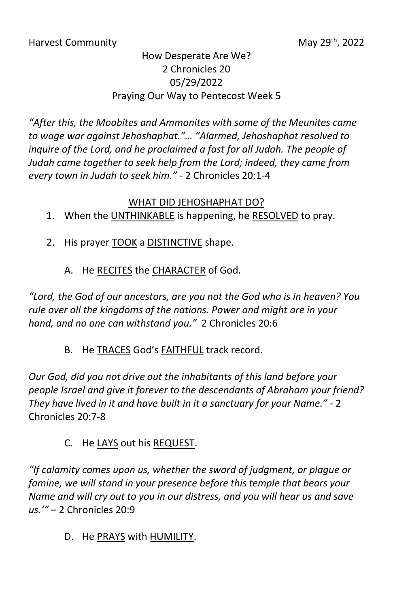## How Desperate Are We? 2 Chronicles 20 05/29/2022 Praying Our Way to Pentecost Week 5

*"After this, the Moabites and Ammonites with some of the Meunites came to wage war against Jehoshaphat."… "Alarmed, Jehoshaphat resolved to inquire of the Lord, and he proclaimed a fast for all Judah. The people of Judah came together to seek help from the Lord; indeed, they came from every town in Judah to seek him." -* 2 Chronicles 20:1-4

## WHAT DID JEHOSHAPHAT DO?

- 1. When the UNTHINKABLE is happening, he RESOLVED to pray.
- 2. His prayer TOOK a DISTINCTIVE shape.
	- A. He RECITES the CHARACTER of God.

*"Lord, the God of our ancestors, are you not the God who is in heaven? You rule over all the kingdoms of the nations. Power and might are in your hand, and no one can withstand you."* 2 Chronicles 20:6

B. He TRACES God's FAITHFUL track record.

*Our God, did you not drive out the inhabitants of this land before your people Israel and give it forever to the descendants of Abraham your friend? They have lived in it and have built in it a sanctuary for your Name." -* 2 Chronicles 20:7-8

## C. He LAYS out his REQUEST.

*"If calamity comes upon us, whether the sword of judgment, or plague or famine, we will stand in your presence before this temple that bears your Name and will cry out to you in our distress, and you will hear us and save us.'"* – 2 Chronicles 20:9

D. He PRAYS with HUMILITY.